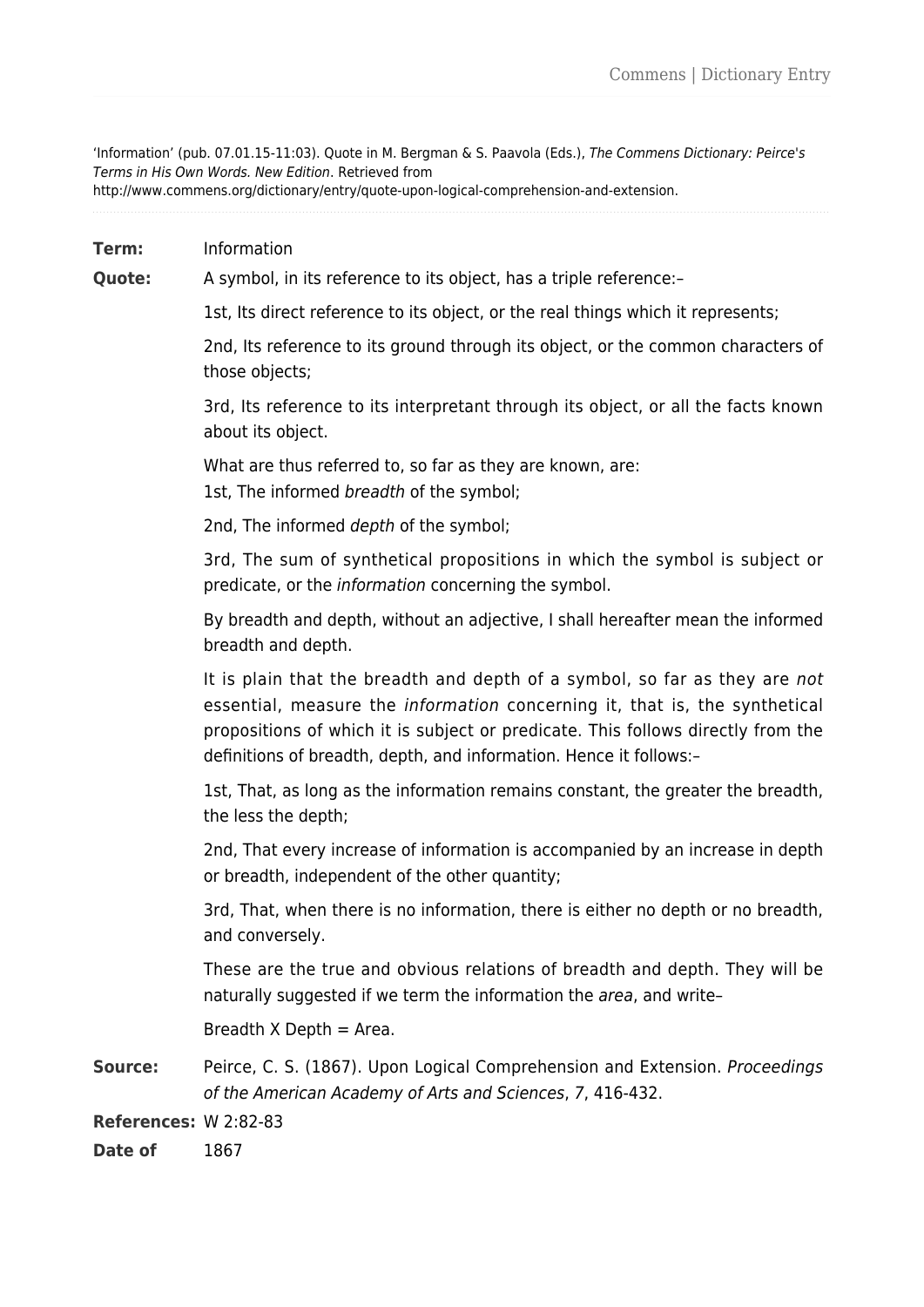'Information' (pub. 07.01.15-11:03). Quote in M. Bergman & S. Paavola (Eds.), The Commens Dictionary: Peirce's Terms in His Own Words. New Edition. Retrieved from

http://www.commens.org/dictionary/entry/quote-upon-logical-comprehension-and-extension.

**Term:** Information

**Quote:** A symbol, in its reference to its object, has a triple reference:-

1st, Its direct reference to its object, or the real things which it represents;

2nd, Its reference to its ground through its object, or the common characters of those objects;

3rd, Its reference to its interpretant through its object, or all the facts known about its object.

What are thus referred to, so far as they are known, are: 1st, The informed breadth of the symbol;

2nd, The informed depth of the symbol;

3rd, The sum of synthetical propositions in which the symbol is subject or predicate, or the information concerning the symbol.

By breadth and depth, without an adjective, I shall hereafter mean the informed breadth and depth.

It is plain that the breadth and depth of a symbol, so far as they are not essential, measure the information concerning it, that is, the synthetical propositions of which it is subject or predicate. This follows directly from the definitions of breadth, depth, and information. Hence it follows:–

1st, That, as long as the information remains constant, the greater the breadth, the less the depth;

2nd, That every increase of information is accompanied by an increase in depth or breadth, independent of the other quantity;

3rd, That, when there is no information, there is either no depth or no breadth, and conversely.

These are the true and obvious relations of breadth and depth. They will be naturally suggested if we term the information the *area*, and write-

Breadth  $X$  Depth = Area.

**Source:** Peirce, C. S. (1867). Upon Logical Comprehension and Extension. *Proceedings* of the American Academy of Arts and Sciences, 7, 416-432.

**References:** W 2:82-83

**Date of** 1867